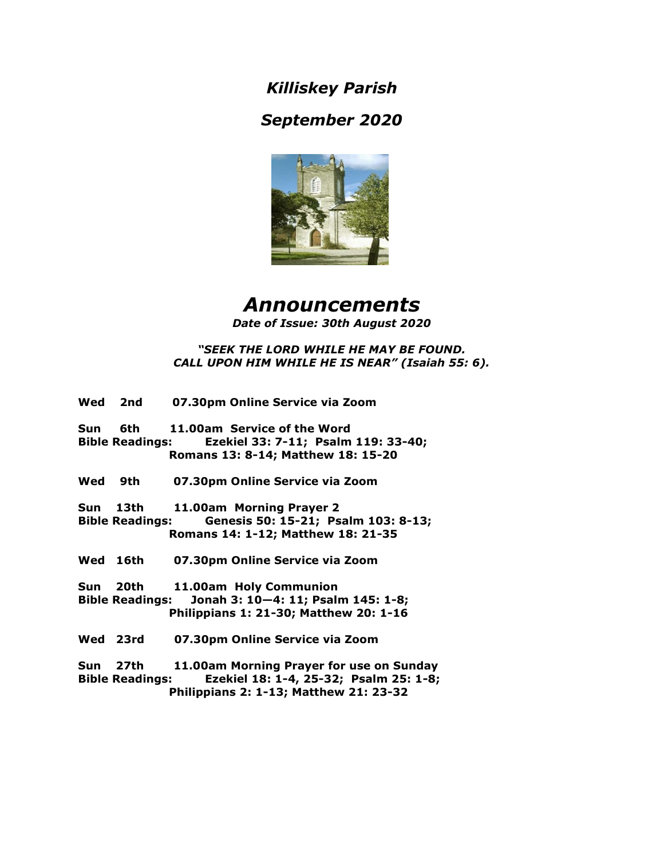*Killiskey Parish*

# *September 2020*



# *Announcements Date of Issue: 30th August 2020*

# *"SEEK THE LORD WHILE HE MAY BE FOUND. CALL UPON HIM WHILE HE IS NEAR" (Isaiah 55: 6).*

|     | Wed 2nd                            | 07.30pm Online Service via Zoom                                                                                        |
|-----|------------------------------------|------------------------------------------------------------------------------------------------------------------------|
| Sun | <b>Bible Readings:</b>             | 6th 11.00am Service of the Word<br>Ezekiel 33: 7-11; Psalm 119: 33-40;<br>Romans 13: 8-14; Matthew 18: 15-20           |
|     | Wed 9th                            | 07.30pm Online Service via Zoom                                                                                        |
|     | Sun 13th<br><b>Bible Readings:</b> | 11.00am Morning Prayer 2<br>Genesis 50: 15-21; Psalm 103: 8-13;<br>Romans 14: 1-12; Matthew 18: 21-35                  |
|     | Wed 16th                           | 07.30pm Online Service via Zoom                                                                                        |
|     | Sun 20th                           | 11.00am Holy Communion<br>Bible Readings: Jonah 3: 10-4: 11; Psalm 145: 1-8;<br>Philippians 1: 21-30; Matthew 20: 1-16 |
|     | Wed 23rd                           | 07.30pm Online Service via Zoom                                                                                        |
|     | Sun 27th<br><b>Bible Readings:</b> | 11.00am Morning Prayer for use on Sunday<br>Ezekiel 18: 1-4, 25-32; Psalm 25: 1-8;                                     |

 **Philippians 2: 1-13; Matthew 21: 23-32**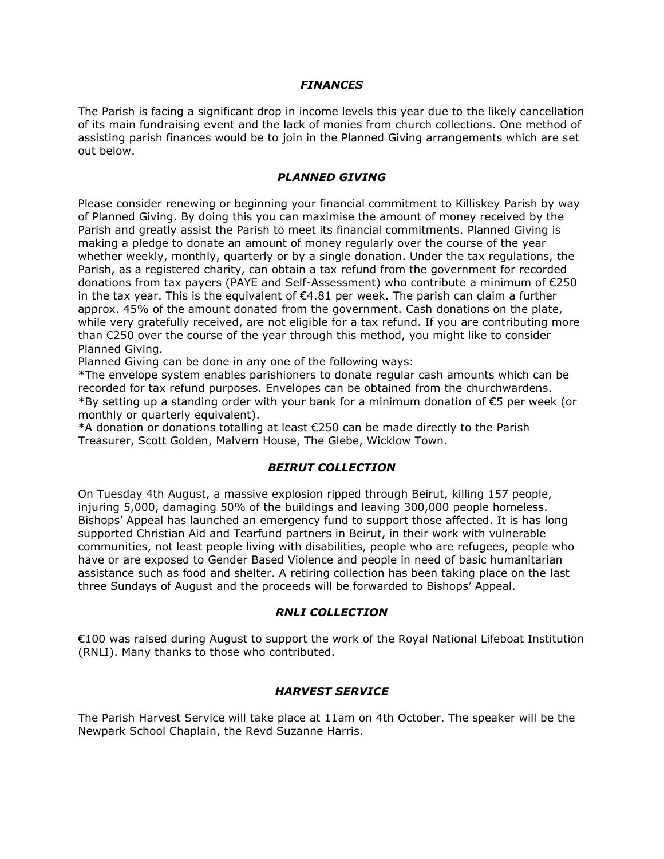#### *FINANCES*

The Parish is facing a significant drop in income levels this year due to the likely cancellation of its main fundraising event and the lack of monies from church collections. One method of assisting parish finances would be to join in the Planned Giving arrangements which are set out below.

#### *PLANNED GIVING*

Please consider renewing or beginning your financial commitment to Killiskey Parish by way of Planned Giving. By doing this you can maximise the amount of money received by the Parish and greatly assist the Parish to meet its financial commitments. Planned Giving is making a pledge to donate an amount of money regularly over the course of the year whether weekly, monthly, quarterly or by a single donation. Under the tax regulations, the Parish, as a registered charity, can obtain a tax refund from the government for recorded donations from tax payers (PAYE and Self-Assessment) who contribute a minimum of €250 in the tax year. This is the equivalent of  $\epsilon$ 4.81 per week. The parish can claim a further approx. 45% of the amount donated from the government. Cash donations on the plate, while very gratefully received, are not eligible for a tax refund. If you are contributing more than  $E$ 250 over the course of the year through this method, you might like to consider Planned Giving.

Planned Giving can be done in any one of the following ways:

\*The envelope system enables parishioners to donate regular cash amounts which can be recorded for tax refund purposes. Envelopes can be obtained from the churchwardens. \*By setting up a standing order with your bank for a minimum donation of €5 per week (or monthly or quarterly equivalent).

\*A donation or donations totalling at least €250 can be made directly to the Parish Treasurer, Scott Golden, Malvern House, The Glebe, Wicklow Town.

#### *BEIRUT COLLECTION*

On Tuesday 4th August, a massive explosion ripped through Beirut, killing 157 people, injuring 5,000, damaging 50% of the buildings and leaving 300,000 people homeless. Bishops' Appeal has launched an emergency fund to support those affected. It is has long supported Christian Aid and Tearfund partners in Beirut, in their work with vulnerable communities, not least people living with disabilities, people who are refugees, people who have or are exposed to Gender Based Violence and people in need of basic humanitarian assistance such as food and shelter. A retiring collection has been taking place on the last three Sundays of August and the proceeds will be forwarded to Bishops' Appeal.

#### *RNLI COLLECTION*

€100 was raised during August to support the work of the Royal National Lifeboat Institution (RNLI). Many thanks to those who contributed.

# *HARVEST SERVICE*

The Parish Harvest Service will take place at 11am on 4th October. The speaker will be the Newpark School Chaplain, the Revd Suzanne Harris.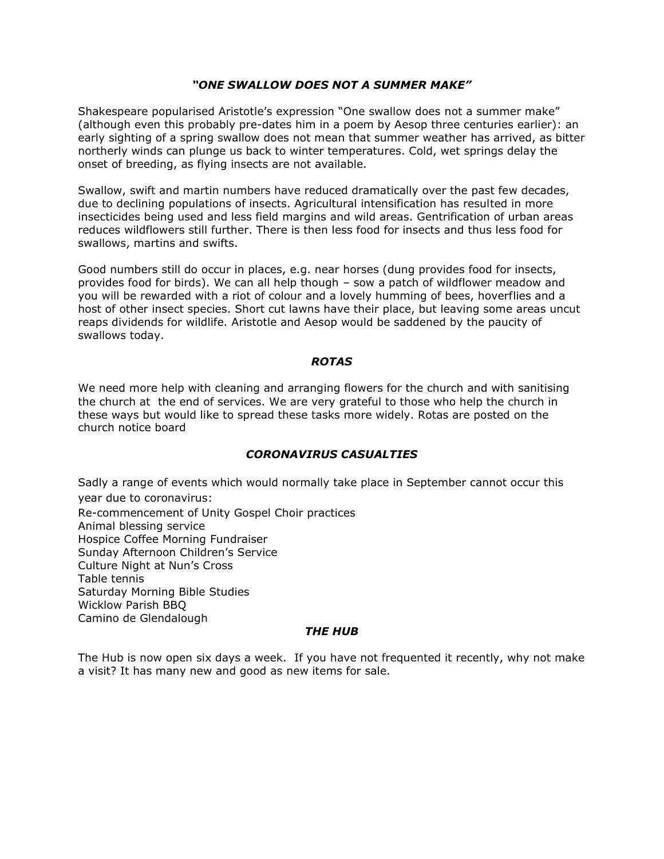# *"ONE SWALLOW DOES NOT A SUMMER MAKE"*

Shakespeare popularised Aristotle's expression "One swallow does not a summer make" (although even this probably pre-dates him in a poem by Aesop three centuries earlier): an early sighting of a spring swallow does not mean that summer weather has arrived, as bitter northerly winds can plunge us back to winter temperatures. Cold, wet springs delay the onset of breeding, as flying insects are not available.

Swallow, swift and martin numbers have reduced dramatically over the past few decades, due to declining populations of insects. Agricultural intensification has resulted in more insecticides being used and less field margins and wild areas. Gentrification of urban areas reduces wildflowers still further. There is then less food for insects and thus less food for swallows, martins and swifts.

Good numbers still do occur in places, e.g. near horses (dung provides food for insects, provides food for birds). We can all help though – sow a patch of wildflower meadow and you will be rewarded with a riot of colour and a lovely humming of bees, hoverflies and a host of other insect species. Short cut lawns have their place, but leaving some areas uncut reaps dividends for wildlife. Aristotle and Aesop would be saddened by the paucity of swallows today.

#### *ROTAS*

We need more help with cleaning and arranging flowers for the church and with sanitising the church at the end of services. We are very grateful to those who help the church in these ways but would like to spread these tasks more widely. Rotas are posted on the church notice board

# *CORONAVIRUS CASUALTIES*

Sadly a range of events which would normally take place in September cannot occur this year due to coronavirus: Re-commencement of Unity Gospel Choir practices Animal blessing service Hospice Coffee Morning Fundraiser Sunday Afternoon Children's Service Culture Night at Nun's Cross Table tennis Saturday Morning Bible Studies Wicklow Parish BBQ Camino de Glendalough

# *THE HUB*

The Hub is now open six days a week. If you have not frequented it recently, why not make a visit? It has many new and good as new items for sale.